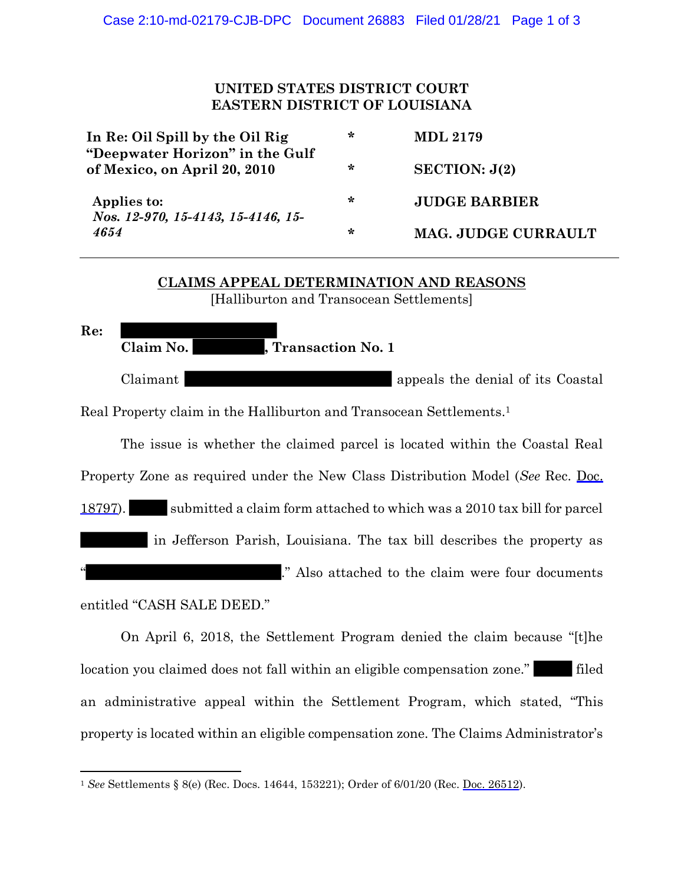## **UNITED STATES DISTRICT COURT EASTERN DISTRICT OF LOUISIANA**

| In Re: Oil Spill by the Oil Rig<br>"Deepwater Horizon" in the Gulf<br>of Mexico, on April 20, 2010 | ∗ | <b>MDL 2179</b>      |
|----------------------------------------------------------------------------------------------------|---|----------------------|
|                                                                                                    | ∗ | SECTION: J(2)        |
| Applies to:<br>Nos. 12-970, 15-4143, 15-4146, 15-<br>4654                                          | ∗ | <b>JUDGE BARBIER</b> |
|                                                                                                    | ∗ | MAG. JUDGE CURRAULT  |

## **CLAIMS APPEAL DETERMINATION AND REASONS** [Halliburton and Transocean Settlements]

**Re:** Claim No. **1988**, Transaction No. 1 Claimant appeals the denial of its Coastal Real Property claim in the Halliburton and Transocean Settlements. 1

The issue is whether the claimed parcel is located within the Coastal Real Property Zone as required under the New Class Distribution Model (*See* Rec. Doc. 18797). submitted a claim form attached to which was a 2010 tax bill for parcel in Jefferson Parish, Louisiana. The tax bill describes the property as ." Also attached to the claim were four documents

entitled "CASH SALE DEED."

On April 6, 2018, the Settlement Program denied the claim because "[t]he location you claimed does not fall within an eligible compensation zone." filed an administrative appeal within the Settlement Program, which stated, "This property is located within an eligible compensation zone. The Claims Administrator's

<sup>1</sup> *See* Settlements § 8(e) (Rec. Docs. 14644, 153221); Order of 6/01/20 (Rec. Doc. 26512).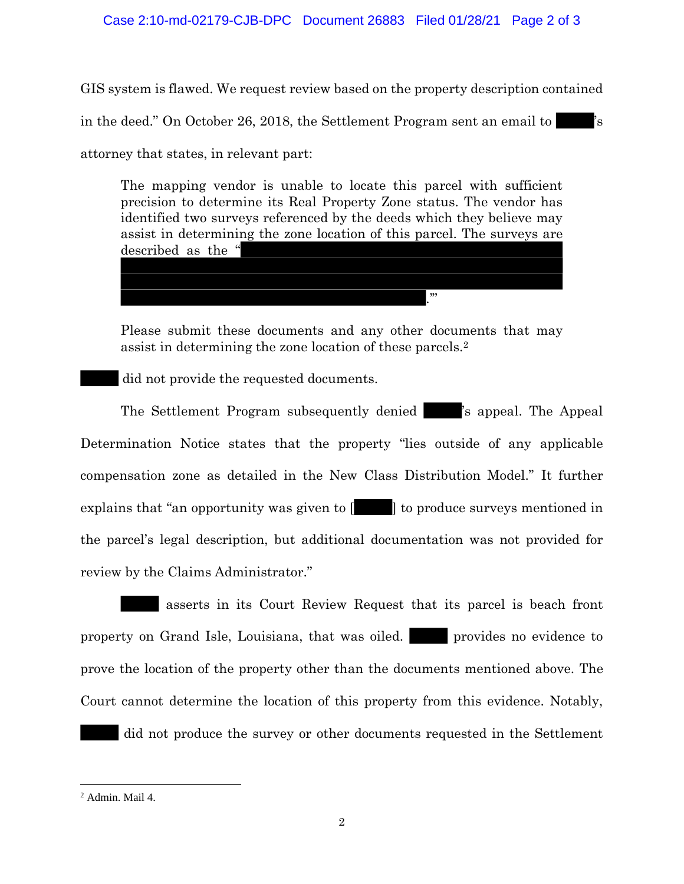GIS system is flawed. We request review based on the property description contained in the deed." On October 26, 2018, the Settlement Program sent an email to attorney that states, in relevant part:

The mapping vendor is unable to locate this parcel with sufficient precision to determine its Real Property Zone status. The vendor has identified two surveys referenced by the deeds which they believe may assist in determining the zone location of this parcel. The surveys are described as the "

Please submit these documents and any other documents that may assist in determining the zone location of these parcels.<sup>2</sup>

.'"

did not provide the requested documents.

The Settlement Program subsequently denied <sup>'s</sup> appeal. The Appeal's Determination Notice states that the property "lies outside of any applicable compensation zone as detailed in the New Class Distribution Model." It further explains that "an opportunity was given to  $\begin{bmatrix} 1 \\ 1 \end{bmatrix}$  to produce surveys mentioned in the parcel's legal description, but additional documentation was not provided for review by the Claims Administrator."

asserts in its Court Review Request that its parcel is beach front property on Grand Isle, Louisiana, that was oiled. **provides no evidence to** prove the location of the property other than the documents mentioned above. The Court cannot determine the location of this property from this evidence. Notably,

did not produce the survey or other documents requested in the Settlement

<sup>2</sup> Admin. Mail 4.